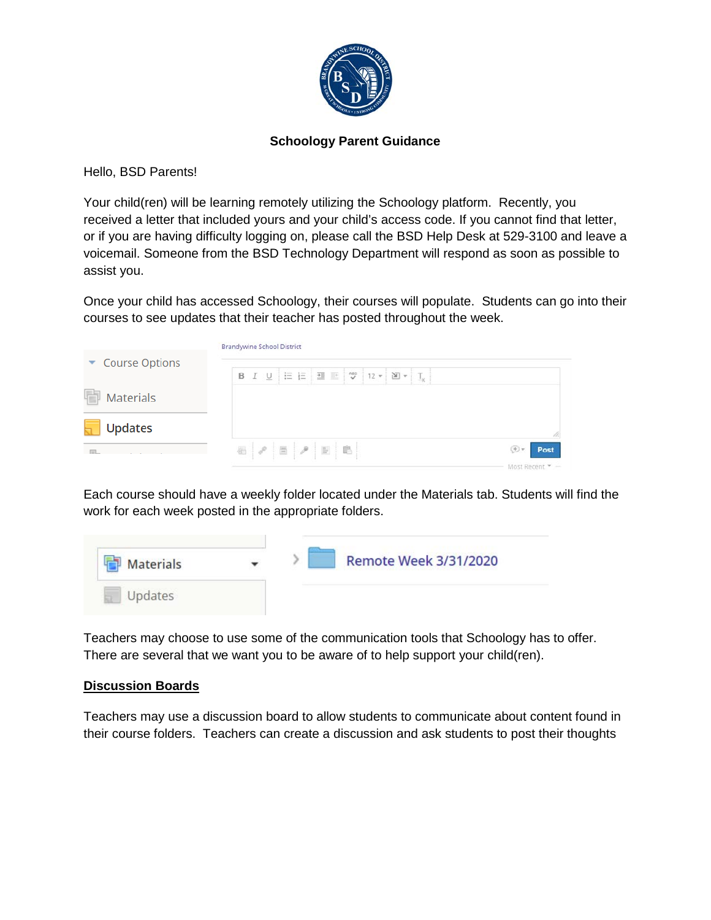

#### **Schoology Parent Guidance**

Hello, BSD Parents!

Your child(ren) will be learning remotely utilizing the Schoology platform. Recently, you received a letter that included yours and your child's access code. If you cannot find that letter, or if you are having difficulty logging on, please call the BSD Help Desk at 529-3100 and leave a voicemail. Someone from the BSD Technology Department will respond as soon as possible to assist you.

Once your child has accessed Schoology, their courses will populate. Students can go into their courses to see updates that their teacher has posted throughout the week.

| Course Options        | <b>Brandywine School District</b>                                                                                                                                                                    |                      |  |  |  |  |  |
|-----------------------|------------------------------------------------------------------------------------------------------------------------------------------------------------------------------------------------------|----------------------|--|--|--|--|--|
|                       | <b>B</b> $I \cup \mathbb{E}$ $E \mid \mathbb{E} \mid \mathbb{E} \mid \mathbb{V}$ 12 $\mathbb{V} \mid \mathbb{V} \cdot \mid \mathbb{V} \cdot \mid \mathbb{V}$                                         |                      |  |  |  |  |  |
| ħ<br><b>Materials</b> |                                                                                                                                                                                                      |                      |  |  |  |  |  |
| <b>Updates</b>        |                                                                                                                                                                                                      |                      |  |  |  |  |  |
|                       | $\textbf{E}\left[\begin{array}{c c} \mathbf{P} & \mathbf{E} & \mathbf{P} & \mathbf{E} \end{array}\right] \textbf{E}\left[\begin{array}{c c} \mathbf{E} & \mathbf{E} & \mathbf{E} \end{array}\right]$ | $(+)$<br><b>Post</b> |  |  |  |  |  |
|                       |                                                                                                                                                                                                      | Most Recent          |  |  |  |  |  |

Each course should have a weekly folder located under the Materials tab. Students will find the work for each week posted in the appropriate folders.



Teachers may choose to use some of the communication tools that Schoology has to offer. There are several that we want you to be aware of to help support your child(ren).

#### **Discussion Boards**

Teachers may use a discussion board to allow students to communicate about content found in their course folders. Teachers can create a discussion and ask students to post their thoughts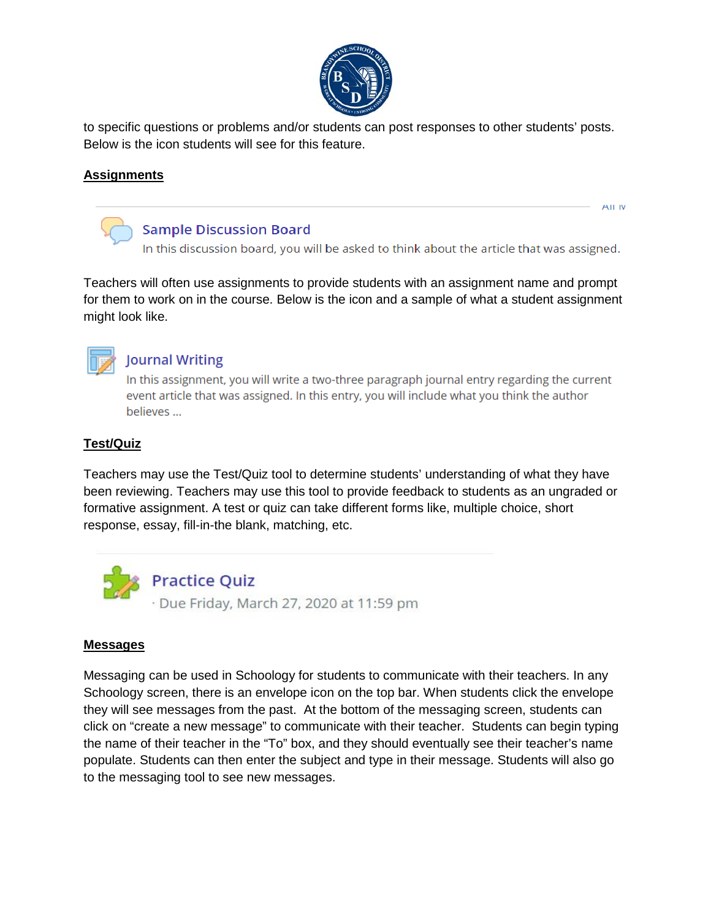

to specific questions or problems and/or students can post responses to other students' posts. Below is the icon students will see for this feature.

### **Assignments**

## **Sample Discussion Board**

In this discussion board, you will be asked to think about the article that was assigned.

**AILIV** 

Teachers will often use assignments to provide students with an assignment name and prompt for them to work on in the course. Below is the icon and a sample of what a student assignment might look like.



### **Journal Writing**

In this assignment, you will write a two-three paragraph journal entry regarding the current event article that was assigned. In this entry, you will include what you think the author believes ...

# **Test/Quiz**

Teachers may use the Test/Quiz tool to determine students' understanding of what they have been reviewing. Teachers may use this tool to provide feedback to students as an ungraded or formative assignment. A test or quiz can take different forms like, multiple choice, short response, essay, fill-in-the blank, matching, etc.



#### **Messages**

Messaging can be used in Schoology for students to communicate with their teachers. In any Schoology screen, there is an envelope icon on the top bar. When students click the envelope they will see messages from the past. At the bottom of the messaging screen, students can click on "create a new message" to communicate with their teacher. Students can begin typing the name of their teacher in the "To" box, and they should eventually see their teacher's name populate. Students can then enter the subject and type in their message. Students will also go to the messaging tool to see new messages.